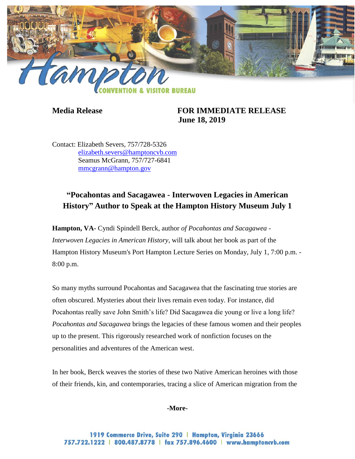

# **Media Release FOR IMMEDIATE RELEASE June 18, 2019**

Contact: Elizabeth Severs, 757/728-5326 [elizabeth.severs@hamptoncvb.com](mailto:elizabeth.severs@hamptoncvb.com) Seamus McGrann, 757/727-6841 [mmcgrann@hampton.gov](mailto:mmcgrann@hampton.gov)

# **"Pocahontas and Sacagawea - Interwoven Legacies in American History" Author to Speak at the Hampton History Museum July 1**

**Hampton, VA-** Cyndi Spindell Berck, author *of Pocahontas and Sacagawea - Interwoven Legacies in American History*, will talk about her book as part of the Hampton History Museum's Port Hampton Lecture Series on Monday, July 1, 7:00 p.m. - 8:00 p.m.

So many myths surround Pocahontas and Sacagawea that the fascinating true stories are often obscured. Mysteries about their lives remain even today. For instance, did Pocahontas really save John Smith's life? Did Sacagawea die young or live a long life? *Pocahontas and Sacagawea* brings the legacies of these famous women and their peoples up to the present. This rigorously researched work of nonfiction focuses on the personalities and adventures of the American west.

In her book, Berck weaves the stories of these two Native American heroines with those of their friends, kin, and contemporaries, tracing a slice of American migration from the

**-More-**

1919 Commerce Drive, Suite 290 | Hampton, Virginia 23666 757.722.1222 | 800.487.8778 | fax 757.896.4600 | www.hamptoncvb.com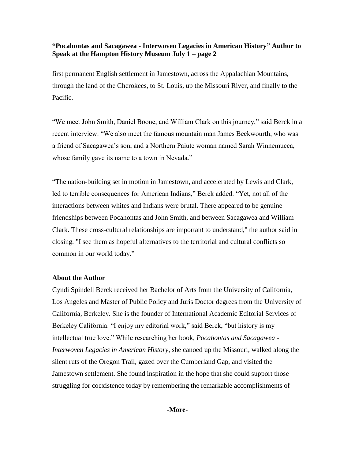# **"Pocahontas and Sacagawea - Interwoven Legacies in American History" Author to Speak at the Hampton History Museum July 1 – page 2**

first permanent English settlement in Jamestown, across the Appalachian Mountains, through the land of the Cherokees, to St. Louis, up the Missouri River, and finally to the Pacific.

"We meet John Smith, Daniel Boone, and William Clark on this journey," said Berck in a recent interview. "We also meet the famous mountain man James Beckwourth, who was a friend of Sacagawea's son, and a Northern Paiute woman named Sarah Winnemucca, whose family gave its name to a town in Nevada."

"The nation-building set in motion in Jamestown, and accelerated by Lewis and Clark, led to terrible consequences for American Indians," Berck added. "Yet, not all of the interactions between whites and Indians were brutal. There appeared to be genuine friendships between Pocahontas and John Smith, and between Sacagawea and William Clark. These cross-cultural relationships are important to understand," the author said in closing. "I see them as hopeful alternatives to the territorial and cultural conflicts so common in our world today."

### **About the Author**

Cyndi Spindell Berck received her Bachelor of Arts from the University of California, Los Angeles and Master of Public Policy and Juris Doctor degrees from the University of California, Berkeley. She is the founder of International Academic Editorial Services of Berkeley California. "I enjoy my editorial work," said Berck, "but history is my intellectual true love." While researching her book, *Pocahontas and Sacagawea - Interwoven Legacies in American History*, she canoed up the Missouri, walked along the silent ruts of the Oregon Trail, gazed over the Cumberland Gap, and visited the Jamestown settlement. She found inspiration in the hope that she could support those struggling for coexistence today by remembering the remarkable accomplishments of